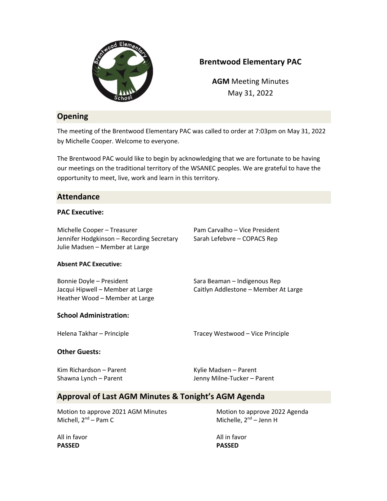

# **Brentwood Elementary PAC**

**AGM** Meeting Minutes May 31, 2022

## **Opening**

The meeting of the Brentwood Elementary PAC was called to order at 7:03pm on May 31, 2022 by Michelle Cooper. Welcome to everyone.

The Brentwood PAC would like to begin by acknowledging that we are fortunate to be having our meetings on the traditional territory of the WSANEC peoples. We are grateful to have the opportunity to meet, live, work and learn in this territory.

### **Attendance**

#### **PAC Executive:**

Michelle Cooper – Treasurer Pam Carvalho – Vice President Jennifer Hodgkinson – Recording Secretary Sarah Lefebvre – COPACS Rep Julie Madsen – Member at Large

#### **Absent PAC Executive:**

Bonnie Doyle – President Sara Beaman – Indigenous Rep Jacqui Hipwell – Member at Large Caitlyn Addlestone – Member At Large Heather Wood – Member at Large

### **School Administration:**

Helena Takhar – Principle Tracey Westwood – Vice Principle

#### **Other Guests:**

Kim Richardson – Parent Kylie Madsen – Parent

Shawna Lynch – Parent Theorem Shawna Lynch – Parent

## **Approval of Last AGM Minutes & Tonight's AGM Agenda**

Motion to approve 2021 AGM Minutes Motion to approve 2022 Agenda Michell,  $2^{nd}$  – Pam C Michelle,  $2^{nd}$  – Jenn H

**PASSED PASSED**

All in favor **All in favor** All in favor